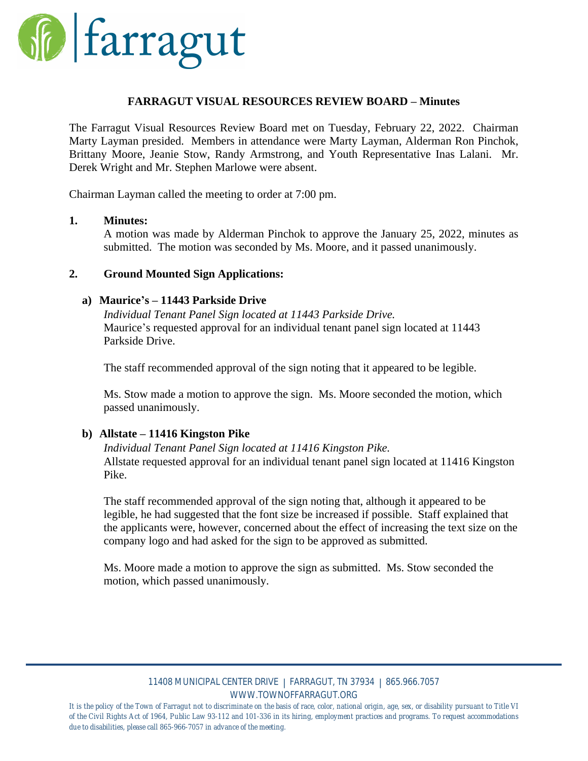

### **FARRAGUT VISUAL RESOURCES REVIEW BOARD – Minutes**

The Farragut Visual Resources Review Board met on Tuesday, February 22, 2022. Chairman Marty Layman presided. Members in attendance were Marty Layman, Alderman Ron Pinchok, Brittany Moore, Jeanie Stow, Randy Armstrong, and Youth Representative Inas Lalani. Mr. Derek Wright and Mr. Stephen Marlowe were absent.

Chairman Layman called the meeting to order at 7:00 pm.

#### **1. Minutes:**

A motion was made by Alderman Pinchok to approve the January 25, 2022, minutes as submitted. The motion was seconded by Ms. Moore, and it passed unanimously.

### **2. Ground Mounted Sign Applications:**

#### **a) Maurice's – 11443 Parkside Drive**

*Individual Tenant Panel Sign located at 11443 Parkside Drive.* Maurice's requested approval for an individual tenant panel sign located at 11443 Parkside Drive.

The staff recommended approval of the sign noting that it appeared to be legible.

Ms. Stow made a motion to approve the sign. Ms. Moore seconded the motion, which passed unanimously.

# **b) Allstate – 11416 Kingston Pike**

*Individual Tenant Panel Sign located at 11416 Kingston Pike.* Allstate requested approval for an individual tenant panel sign located at 11416 Kingston Pike.

The staff recommended approval of the sign noting that, although it appeared to be legible, he had suggested that the font size be increased if possible. Staff explained that the applicants were, however, concerned about the effect of increasing the text size on the company logo and had asked for the sign to be approved as submitted.

Ms. Moore made a motion to approve the sign as submitted. Ms. Stow seconded the motion, which passed unanimously.

#### 11408 MUNICIPAL CENTER DRIVE | FARRAGUT, TN 37934 | 865.966.7057 WWW.TOWNOFFARRAGUT.ORG

It is the policy of the Town of Farragut not to discriminate on the basis of race, color, national origin, age, sex, or disability pursuant to Title VI of the Civil Rights Act of 1964, Public Law 93-112 and 101-336 in its hiring, employment practices and programs. To request accommodations *due to disabilities, please call 865-966-7057 in advance of the meeting.*